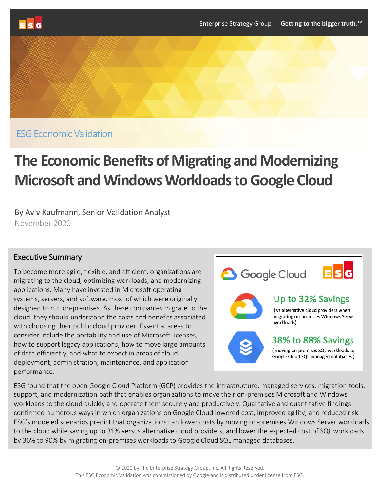

ESG Economic Validation

# **The Economic Benefits of Migrating and Modernizing Microsoft and Windows Workloads to Google Cloud**

By Aviv Kaufmann, Senior Validation Analyst November 2020

## Executive Summary

To become more agile, flexible, and efficient, organizations are migrating to the cloud, optimizing workloads, and modernizing applications. Many have invested in Microsoft operating systems, servers, and software, most of which were originally designed to run on-premises. As these companies migrate to the cloud, they should understand the costs and benefits associated with choosing their public cloud provider. Essential areas to consider include the portability and use of Microsoft licenses, how to support legacy applications, how to move large amounts of data efficiently, and what to expect in areas of cloud deployment, administration, maintenance, and application performance.



ESG found that the open Google Cloud Platform (GCP) provides the infrastructure, managed services, migration tools, support, and modernization path that enables organizations to move their on-premises Microsoft and Windows workloads to the cloud quickly and operate them securely and productively. Qualitative and quantitative findings confirmed numerous ways in which organizations on Google Cloud lowered cost, improved agility, and reduced risk. ESG's modeled scenarios predict that organizations can lower costs by moving on-premises Windows Server workloads to the cloud while saving up to 31% versus alternative cloud providers, and lower the expected cost of SQL workloads by 36% to 90% by migrating on-premises workloads to Google Cloud SQL managed databases.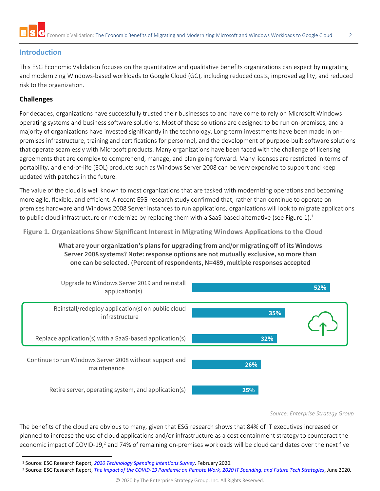

## **Introduction**

This ESG Economic Validation focuses on the quantitative and qualitative benefits organizations can expect by migrating and modernizing Windows-based workloads to Google Cloud (GC), including reduced costs, improved agility, and reduced risk to the organization.

## **Challenges**

For decades, organizations have successfully trusted their businesses to and have come to rely on Microsoft Windows operating systems and business software solutions. Most of these solutions are designed to be run on-premises, and a majority of organizations have invested significantly in the technology. Long-term investments have been made in onpremises infrastructure, training and certifications for personnel, and the development of purpose-built software solutions that operate seamlessly with Microsoft products. Many organizations have been faced with the challenge of licensing agreements that are complex to comprehend, manage, and plan going forward. Many licenses are restricted in terms of portability, and end-of-life (EOL) products such as Windows Server 2008 can be very expensive to support and keep updated with patches in the future.

The value of the cloud is well known to most organizations that are tasked with modernizing operations and becoming more agile, flexible, and efficient. A recent ESG research study confirmed that, rather than continue to operate onpremises hardware and Windows 2008 Server instances to run applications, organizations will look to migrate applications to public cloud infrastructure or modernize by replacing them with a SaaS-based alternative (see Figure 1).<sup>1</sup>

**Figure 1. Organizations Show Significant Interest in Migrating Windows Applications to the Cloud**

**What are your organization's plans for upgrading from and/or migrating off of its Windows Server 2008 systems? Note: response options are not mutually exclusive, so more than one can be selected. (Percent of respondents, N=489, multiple responses accepted**



*Source: Enterprise Strategy Group*

The benefits of the cloud are obvious to many, given that ESG research shows that 84% of IT executives increased or planned to increase the use of cloud applications and/or infrastructure as a cost containment strategy to counteract the economic impact of COVID-19,<sup>2</sup> and 74% of remaining on-premises workloads will be cloud candidates over the next five

<sup>1</sup> Source: ESG Research Report, *[2020 Technology Spending Intentions Survey](https://research.esg-global.com/reportaction/2020TechnologySpendingIntentions/Toc)*, February 2020.

<sup>2</sup> Source: ESG Research Report, *[The Impact of the COVID-19 Pandemic on Remote Work, 2020 IT Spending, and Future Tech Strategies](https://research.esg-global.com/reportaction/COVID-19Impact/Toc)*, June 2020.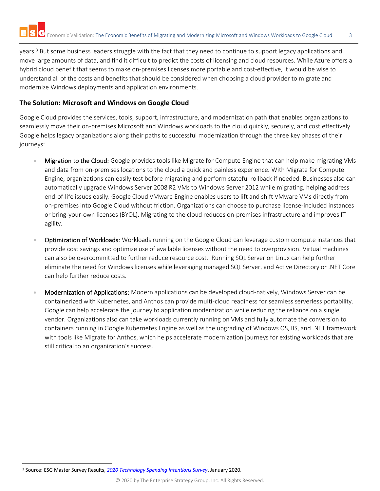years.<sup>3</sup> But some business leaders struggle with the fact that they need to continue to support legacy applications and move large amounts of data, and find it difficult to predict the costs of licensing and cloud resources. While Azure offers a hybrid cloud benefit that seems to make on-premises licenses more portable and cost-effective, it would be wise to understand all of the costs and benefits that should be considered when choosing a cloud provider to migrate and modernize Windows deployments and application environments.

## **The Solution: Microsoft and Windows on Google Cloud**

Google Cloud provides the services, tools, support, infrastructure, and modernization path that enables organizations to seamlessly move their on-premises Microsoft and Windows workloads to the cloud quickly, securely, and cost effectively. Google helps legacy organizations along their paths to successful modernization through the three key phases of their journeys:

- Migration to the Cloud: Google provides tools like Migrate for Compute Engine that can help make migrating VMs and data from on-premises locations to the cloud a quick and painless experience. With Migrate for Compute Engine, organizations can easily test before migrating and perform stateful rollback if needed. Businesses also can automatically upgrade Windows Server 2008 R2 VMs to Windows Server 2012 while migrating, helping address end-of-life issues easily. Google Cloud VMware Engine enables users to lift and shift VMware VMs directly from on-premises into Google Cloud without friction. Organizations can choose to purchase license-included instances or bring-your-own licenses (BYOL). Migrating to the cloud reduces on-premises infrastructure and improves IT agility.
- Optimization of Workloads: Workloads running on the Google Cloud can leverage custom compute instances that provide cost savings and optimize use of available licenses without the need to overprovision. Virtual machines can also be overcommitted to further reduce resource cost. Running SQL Server on Linux can help further eliminate the need for Windows licenses while leveraging managed SQL Server, and Active Directory or .NET Core can help further reduce costs.
- Modernization of Applications: Modern applications can be developed cloud-natively, Windows Server can be containerized with Kubernetes, and Anthos can provide multi-cloud readiness for seamless serverless portability. Google can help accelerate the journey to application modernization while reducing the reliance on a single vendor. Organizations also can take workloads currently running on VMs and fully automate the conversion to containers running in Google Kubernetes Engine as well as the upgrading of Windows OS, IIS, and .NET framework with tools like Migrate for Anthos, which helps accelerate modernization journeys for existing workloads that are still critical to an organization's success.

<sup>3</sup> Source: ESG Master Survey Results, *[2020 Technology Spending Intentions Survey](https://research.esg-global.com/reportaction/TechnologySpendingIntentionsMSR-Jan2020/Toc)*, January 2020.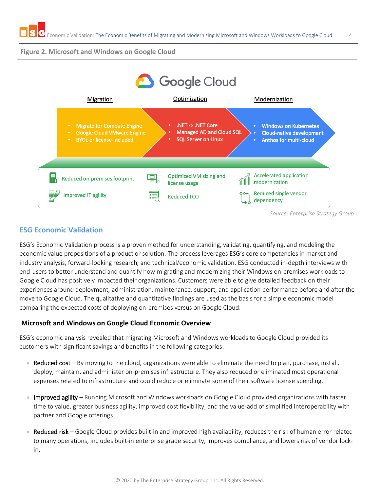#### **Figure 2. Microsoft and Windows on Google Cloud**



*Source: Enterprise Strategy Group*

## **ESG Economic Validation**

ESG's Economic Validation process is a proven method for understanding, validating, quantifying, and modeling the economic value propositions of a product or solution. The process leverages ESG's core competencies in market and industry analysis, forward-looking research, and technical/economic validation. ESG conducted in-depth interviews with end-users to better understand and quantify how migrating and modernizing their Windows on-premises workloads to Google Cloud has positively impacted their organizations. Customers were able to give detailed feedback on their experiences around deployment, administration, maintenance, support, and application performance before and after the move to Google Cloud. The qualitative and quantitative findings are used as the basis for a simple economic model comparing the expected costs of deploying on-premises versus on Google Cloud.

## **Microsoft and Windows on Google Cloud Economic Overview**

ESG's economic analysis revealed that migrating Microsoft and Windows workloads to Google Cloud provided its customers with significant savings and benefits in the following categories:

- Reduced cost By moving to the cloud, organizations were able to eliminate the need to plan, purchase, install, deploy, maintain, and administer on-premises infrastructure. They also reduced or eliminated most operational expenses related to infrastructure and could reduce or eliminate some of their software license spending.
- Improved agility Running Microsoft and Windows workloads on Google Cloud provided organizations with faster time to value, greater business agility, improved cost flexibility, and the value-add of simplified interoperability with partner and Google offerings.
- Reduced risk Google Cloud provides built-in and improved high availability, reduces the risk of human error related to many operations, includes built-in enterprise grade security, improves compliance, and lowers risk of vendor lockin.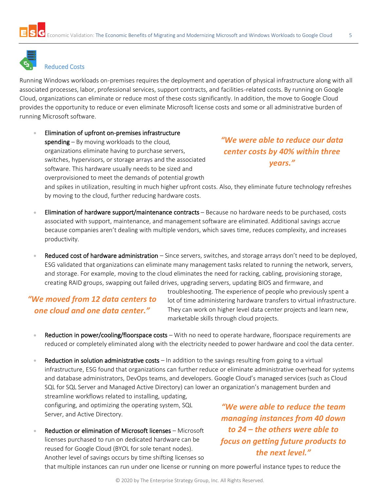

## Reduced Costs

Running Windows workloads on-premises requires the deployment and operation of physical infrastructure along with all associated processes, labor, professional services, support contracts, and facilities-related costs. By running on Google Cloud, organizations can eliminate or reduce most of these costs significantly. In addition, the move to Google Cloud provides the opportunity to reduce or even eliminate Microsoft license costs and some or all administrative burden of running Microsoft software.

• Elimination of upfront on-premises infrastructure spending  $-$  By moving workloads to the cloud, organizations eliminate having to purchase servers, switches, hypervisors, or storage arrays and the associated software. This hardware usually needs to be sized and overprovisioned to meet the demands of potential growth

*"We were able to reduce our data center costs by 40% within three years."*

and spikes in utilization, resulting in much higher upfront costs. Also, they eliminate future technology refreshes by moving to the cloud, further reducing hardware costs.

- **Elimination of hardware support/maintenance contracts** Because no hardware needs to be purchased, costs associated with support, maintenance, and management software are eliminated. Additional savings accrue because companies aren't dealing with multiple vendors, which saves time, reduces complexity, and increases productivity.
- Reduced cost of hardware administration Since servers, switches, and storage arrays don't need to be deployed, ESG validated that organizations can eliminate many management tasks related to running the network, servers, and storage. For example, moving to the cloud eliminates the need for racking, cabling, provisioning storage, creating RAID groups, swapping out failed drives, upgrading servers, updating BIOS and firmware, and

## *"We moved from 12 data centers to one cloud and one data center."*

troubleshooting. The experience of people who previously spent a lot of time administering hardware transfers to virtual infrastructure. They can work on higher level data center projects and learn new, marketable skills through cloud projects.

- Reduction in power/cooling/floorspace costs With no need to operate hardware, floorspace requirements are reduced or completely eliminated along with the electricity needed to power hardware and cool the data center.
- Reduction in solution administrative costs  $-$  In addition to the savings resulting from going to a virtual infrastructure, ESG found that organizations can further reduce or eliminate administrative overhead for systems and database administrators, DevOps teams, and developers. Google Cloud's managed services (such as Cloud SQL for SQL Server and Managed Active Directory) can lower an organization's management burden and streamline workflows related to installing, updating, configuring, and optimizing the operating system, SQL *"We were able to reduce the team*

Server, and Active Directory.

Reduction or elimination of Microsoft licenses – Microsoft licenses purchased to run on dedicated hardware can be reused for Google Cloud (BYOL for sole tenant nodes). Another level of savings occurs by time shifting licenses so

*managing instances from 40 down to 24 – the others were able to focus on getting future products to the next level."* 

that multiple instances can run under one license or running on more powerful instance types to reduce the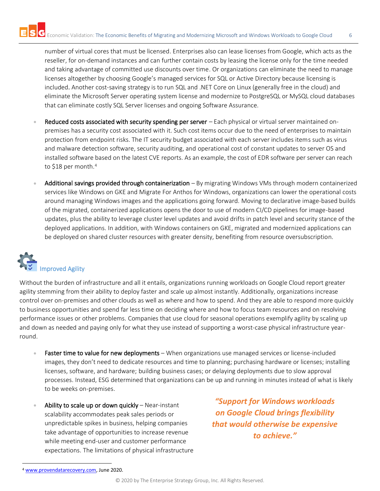number of virtual cores that must be licensed. Enterprises also can lease licenses from Google, which acts as the reseller, for on-demand instances and can further contain costs by leasing the license only for the time needed and taking advantage of committed use discounts over time. Or organizations can eliminate the need to manage licenses altogether by choosing Google's managed services for SQL or Active Directory because licensing is included. Another cost-saving strategy is to run SQL and .NET Core on Linux (generally free in the cloud) and eliminate the Microsoft Server operating system license and modernize to PostgreSQL or MySQL cloud databases that can eliminate costly SQL Server licenses and ongoing Software Assurance.

- Reduced costs associated with security spending per server  $-$  Each physical or virtual server maintained onpremises has a security cost associated with it. Such cost items occur due to the need of enterprises to maintain protection from endpoint risks. The IT security budget associated with each server includes items such as virus and malware detection software, security auditing, and operational cost of constant updates to server OS and installed software based on the latest CVE reports. As an example, the cost of EDR software per server can reach to \$18 per month.<sup>4</sup>
- Additional savings provided through containerization By migrating Windows VMs through modern containerized services like Windows on GKE and Migrate For Anthos for Windows, organizations can lower the operational costs around managing Windows images and the applications going forward. Moving to declarative image-based builds of the migrated, containerized applications opens the door to use of modern CI/CD pipelines for image-based updates, plus the ability to leverage cluster level updates and avoid drifts in patch level and security stance of the deployed applications. In addition, with Windows containers on GKE, migrated and modernized applications can be deployed on shared cluster resources with greater density, benefiting from resource oversubscription.

# l Improved Agility

Without the burden of infrastructure and all it entails, organizations running workloads on Google Cloud report greater agility stemming from their ability to deploy faster and scale up almost instantly. Additionally, organizations increase control over on-premises and other clouds as well as where and how to spend. And they are able to respond more quickly to business opportunities and spend far less time on deciding where and how to focus team resources and on resolving performance issues or other problems. Companies that use cloud for seasonal operations exemplify agility by scaling up and down as needed and paying only for what they use instead of supporting a worst-case physical infrastructure yearround.

- Faster time to value for new deployments When organizations use managed services or license-included images, they don't need to dedicate resources and time to planning; purchasing hardware or licenses; installing licenses, software, and hardware; building business cases; or delaying deployments due to slow approval processes. Instead, ESG determined that organizations can be up and running in minutes instead of what is likely to be weeks on-premises.
- Ability to scale up or down quickly  $-$  Near-instant scalability accommodates peak sales periods or unpredictable spikes in business, helping companies take advantage of opportunities to increase revenue while meeting end-user and customer performance expectations. The limitations of physical infrastructure

*"Support for Windows workloads on Google Cloud brings flexibility that would otherwise be expensive to achieve."* 

<sup>4</sup> [www.provendatarecovery.com,](http://www.provendatarecovery.com/) June 2020.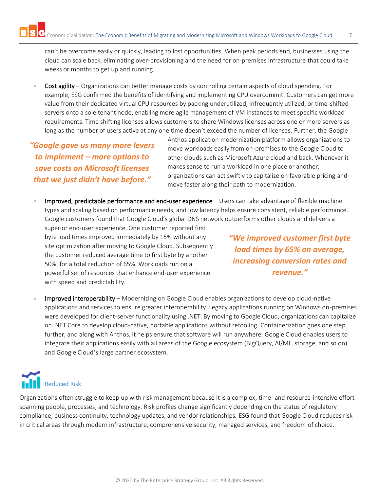can't be overcome easily or quickly, leading to lost opportunities. When peak periods end, businesses using the cloud can scale back, eliminating over-provisioning and the need for on-premises infrastructure that could take weeks or months to get up and running.

• Cost agility – Organizations can better manage costs by controlling certain aspects of cloud spending. For example, ESG confirmed the benefits of identifying and implementing CPU overcommit. Customers can get more value from their dedicated virtual CPU resources by packing underutilized, infrequently utilized, or time-shifted servers onto a sole tenant node, enabling more agile management of VM instances to meet specific workload requirements. Time shifting licenses allows customers to share Windows licenses across one or more servers as long as the number of users active at any one time doesn't exceed the number of licenses. Further, the Google

*"Google gave us many more levers to implement – more options to save costs on Microsoft licenses that we just didn't have before."*

Anthos application modernization platform allows organizations to move workloads easily from on-premises to the Google Cloud to other clouds such as Microsoft Azure cloud and back. Whenever it makes sense to run a workload in one place or another, organizations can act swiftly to capitalize on favorable pricing and move faster along their path to modernization.

Improved, predictable performance and end-user experience - Users can take advantage of flexible machine types and scaling based on performance needs, and low latency helps ensure consistent, reliable performance. Google customers found that Google Cloud's global DNS network outperforms other clouds and delivers a

superior end-user experience. One customer reported first byte load times improved immediately by 15% without any site optimization after moving to Google Cloud. Subsequently the customer reduced average time to first byte by another 50%, for a total reduction of 65%. Workloads run on a powerful set of resources that enhance end-user experience with speed and predictability.

*"We improved customer first byte load times by 65% on average, increasing conversion rates and revenue."*

• Improved interoperability – Modernizing on Google Cloud enables organizations to develop cloud-native applications and services to ensure greater interoperability. Legacy applications running on Windows on-premises were developed for client-server functionality using .NET. By moving to Google Cloud, organizations can capitalize on .NET Core to develop cloud-native, portable applications without retooling. Containerization goes one step further, and along with Anthos, it helps ensure that software will run anywhere. Google Cloud enables users to integrate their applications easily with all areas of the Google ecosystem (BigQuery, AI/ML, storage, and so on) and Google Cloud's large partner ecosystem.

# **Reduced Risk**

Organizations often struggle to keep up with risk management because it is a complex, time- and resource-intensive effort spanning people, processes, and technology. Risk profiles change significantly depending on the status of regulatory compliance, business continuity, technology updates, and vendor relationships. ESG found that Google Cloud reduces risk in critical areas through modern infrastructure, comprehensive security, managed services, and freedom of choice.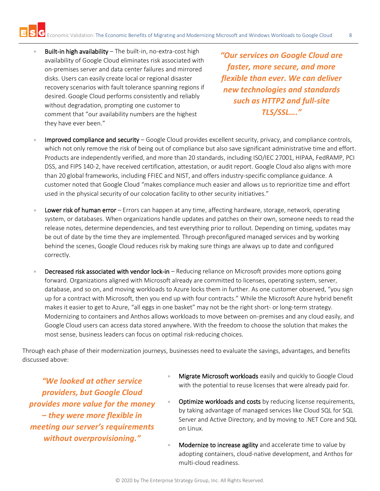Built-in high availability – The built-in, no-extra-cost high availability of Google Cloud eliminates risk associated with on-premises server and data center failures and mirrored disks. Users can easily create local or regional disaster recovery scenarios with fault tolerance spanning regions if desired. Google Cloud performs consistently and reliably without degradation, prompting one customer to comment that "our availability numbers are the highest they have ever been."

*"Our services on Google Cloud are faster, more secure, and more flexible than ever. We can deliver new technologies and standards such as HTTP2 and full-site TLS/SSL…."*

- Improved compliance and security Google Cloud provides excellent security, privacy, and compliance controls, which not only remove the risk of being out of compliance but also save significant administrative time and effort. Products are independently verified, and more than 20 standards, including ISO/IEC 27001, HIPAA, FedRAMP, PCI DSS, and FIPS 140-2, have received certification, attestation, or audit report. Google Cloud also aligns with more than 20 global frameworks, including FFIEC and NIST, and offers industry-specific compliance guidance. A customer noted that Google Cloud "makes compliance much easier and allows us to reprioritize time and effort used in the physical security of our colocation facility to other security initiatives."
- Lower risk of human error Errors can happen at any time, affecting hardware, storage, network, operating system, or databases. When organizations handle updates and patches on their own, someone needs to read the release notes, determine dependencies, and test everything prior to rollout. Depending on timing, updates may be out of date by the time they are implemented. Through preconfigured managed services and by working behind the scenes, Google Cloud reduces risk by making sure things are always up to date and configured correctly.
- Decreased risk associated with vendor lock-in Reducing reliance on Microsoft provides more options going forward. Organizations aligned with Microsoft already are committed to licenses, operating system, server, database, and so on, and moving workloads to Azure locks them in further. As one customer observed, "you sign up for a contract with Microsoft, then you end up with four contracts." While the Microsoft Azure hybrid benefit makes it easier to get to Azure, "all eggs in one basket" may not be the right short- or long-term strategy. Modernizing to containers and Anthos allows workloads to move between on-premises and any cloud easily, and Google Cloud users can access data stored anywhere. With the freedom to choose the solution that makes the most sense, business leaders can focus on optimal risk-reducing choices.

Through each phase of their modernization journeys, businesses need to evaluate the savings, advantages, and benefits discussed above:

*"We looked at other service providers, but Google Cloud provides more value for the money – they were more flexible in meeting our server's requirements without overprovisioning."* 

- Migrate Microsoft workloads easily and quickly to Google Cloud with the potential to reuse licenses that were already paid for.
- Optimize workloads and costs by reducing license requirements, by taking advantage of managed services like Cloud SQL for SQL Server and Active Directory, and by moving to .NET Core and SQL on Linux.
- Modernize to increase agility and accelerate time to value by adopting containers, cloud-native development, and Anthos for multi-cloud readiness.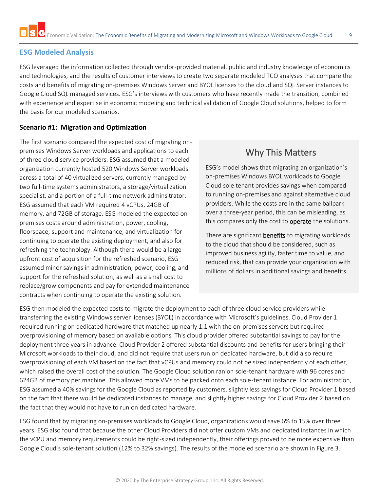## **ESG Modeled Analysis**

ESG leveraged the information collected through vendor-provided material, public and industry knowledge of economics and technologies, and the results of customer interviews to create two separate modeled TCO analyses that compare the costs and benefits of migrating on-premises Windows Server and BYOL licenses to the cloud and SQL Server instances to Google Cloud SQL managed services. ESG's interviews with customers who have recently made the transition, combined with experience and expertise in economic modeling and technical validation of Google Cloud solutions, helped to form the basis for our modeled scenarios.

#### **Scenario #1: Migration and Optimization**

The first scenario compared the expected cost of migrating onpremises Windows Server workloads and applications to each of three cloud service providers. ESG assumed that a modeled organization currently hosted 520 Windows Server workloads across a total of 40 virtualized servers, currently managed by two full-time systems administrators, a storage/virtualization specialist, and a portion of a full-time network adminsitrator. ESG assumed that each VM required 4 vCPUs, 24GB of memory, and 72GB of storage. ESG modeled the expected onpremises costs around administration, power, cooling, floorspace, support and maintenance, and virtualization for continuing to operate the existing deployment, and also for refreshing the technology. Although there would be a large upfront cost of acquisition for the refreshed scenario, ESG assumed minor savings in administration, power, cooling, and support for the refreshed solution, as well as a small cost to replace/grow components and pay for extended maintenance contracts when continuing to operate the existing solution.

# Why This Matters

ESG's model shows that migrating an organization's on-premises Windows BYOL workloads to Google Cloud sole tenant provides savings when compared to running on-premises and against alternative cloud providers. While the costs are in the same ballpark over a three-year period, this can be misleading, as this compares only the cost to **operate** the solutions.

There are significant **benefits** to migrating workloads to the cloud that should be considered, such as improved business agility, faster time to value, and reduced risk, that can provide your organization with millions of dollars in additional savings and benefits.

ESG then modeled the expected costs to migrate the deployment to each of three cloud service providers while transferring the existing Windows server licenses (BYOL) in accordance with Microsoft's guidelines. Cloud Provider 1 required running on dedicated hardware that matched up nearly 1:1 with the on-premises servers but required overprovisioning of memory based on available options. This cloud provider offered substantial savings to pay for the deployment three years in advance. Cloud Provider 2 offered substantial discounts and benefits for users bringing their Microsoft workloads to their cloud, and did not require that users run on dedicated hardware, but did also require overprovisioning of each VM based on the fact that vCPUs and memory could not be sized independently of each other, which raised the overall cost of the solution. The Google Cloud solution ran on sole-tenant hardware with 96 cores and 624GB of memory per machine. This allowed more VMs to be packed onto each sole-tenant instance. For administration, ESG assumed a 40% savings for the Google Cloud as reported by customers, slightly less savings for Cloud Provider 1 based on the fact that there would be dedicated instances to manage, and slightly higher savings for Cloud Provider 2 based on the fact that they would not have to run on dedicated hardware.

ESG found that by migrating on-premises workloads to Google Cloud, organizations would save 6% to 15% over three years. ESG also found that because the other Cloud Providers did not offer custom VMs and dedicated instances in which the vCPU and memory requirements could be right-sized independently, their offerings proved to be more expensive than Google Cloud's sole-tenant solution (12% to 32% savings). The results of the modeled scenario are shown in Figure 3.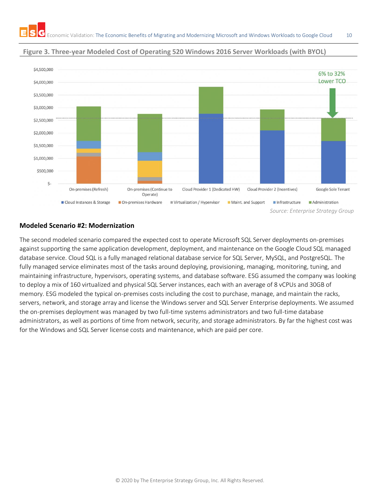

## **Figure 3. Three-year Modeled Cost of Operating 520 Windows 2016 Server Workloads (with BYOL)**

#### **Modeled Scenario #2: Modernization**

The second modeled scenario compared the expected cost to operate Microsoft SQL Server deployments on-premises against supporting the same application development, deployment, and maintenance on the Google Cloud SQL managed database service. Cloud SQL is a fully managed relational database service for SQL Server, MySQL, and PostgreSQL. The fully managed service eliminates most of the tasks around deploying, provisioning, managing, monitoring, tuning, and maintaining infrastructure, hypervisors, operating systems, and database software. ESG assumed the company was looking to deploy a mix of 160 virtualized and physical SQL Server instances, each with an average of 8 vCPUs and 30GB of memory. ESG modeled the typical on-premises costs including the cost to purchase, manage, and maintain the racks, servers, network, and storage array and license the Windows server and SQL Server Enterprise deployments. We assumed the on-premises deployment was managed by two full-time systems administrators and two full-time database administrators, as well as portions of time from network, security, and storage administrators. By far the highest cost was for the Windows and SQL Server license costs and maintenance, which are paid per core.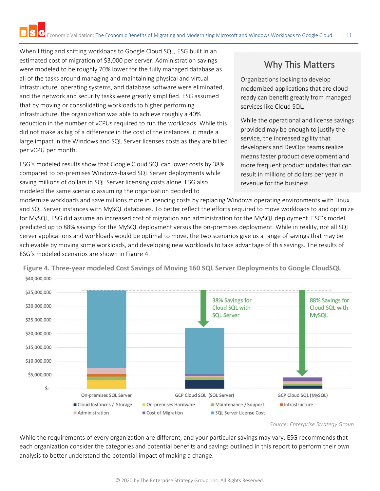When lifting and shifting workloads to Google Cloud SQL, ESG built in an estimated cost of migration of \$3,000 per server. Administration savings were modeled to be roughly 70% lower for the fully managed database as all of the tasks around managing and maintaining physical and virtual infrastructure, operating systems, and database software were eliminated, and the network and security tasks were greatly simplified. ESG assumed that by moving or consolidating workloads to higher performing infrastructure, the organization was able to achieve roughly a 40% reduction in the number of vCPUs required to run the workloads. While this did not make as big of a difference in the cost of the instances, it made a large impact in the Windows and SQL Server licenses costs as they are billed per vCPU per month.

ESG's modeled results show that Google Cloud SQL can lower costs by 38% compared to on-premises Windows-based SQL Server deployments while saving millions of dollars in SQL Server licensing costs alone. ESG also modeled the same scenario assuming the organization decided to

# Why This Matters

Organizations looking to develop modernized applications that are cloudready can benefit greatly from managed services like Cloud SQL.

While the operational and license savings provided may be enough to justify the service, the increased agility that developers and DevOps teams realize means faster product development and more frequent product updates that can result in millions of dollars per year in revenue for the business.

modernize workloads and save millions more in licencing costs by replacing Windows operating environments with Linux and SQL Server instances with MySQL databases. To better reflect the efforts required to move workloads to and optimize for MySQL, ESG did assume an increased cost of migration and administration for the MySQL deployment. ESG's model predicted up to 88% savings for the MySQL deployment versus the on-premises deployment. While in reality, not all SQL Server applications and workloads would be optimal to move, the two scenarios give us a range of savings that may be achievable by moving some workloads, and developing new workloads to take advantage of this savings. The results of ESG's modeled scenarios are shown in Figure 4.



**Figure 4. Three-year modeled Cost Savings of Moving 160 SQL Server Deployments to Google CloudSQL**

*Source: Enterprise Strategy Group*

While the requirements of every organization are different, and your particular savings may vary, ESG recommends that each organization consider the categories and potential benefits and savings outlined in this report to perform their own analysis to better understand the potential impact of making a change.